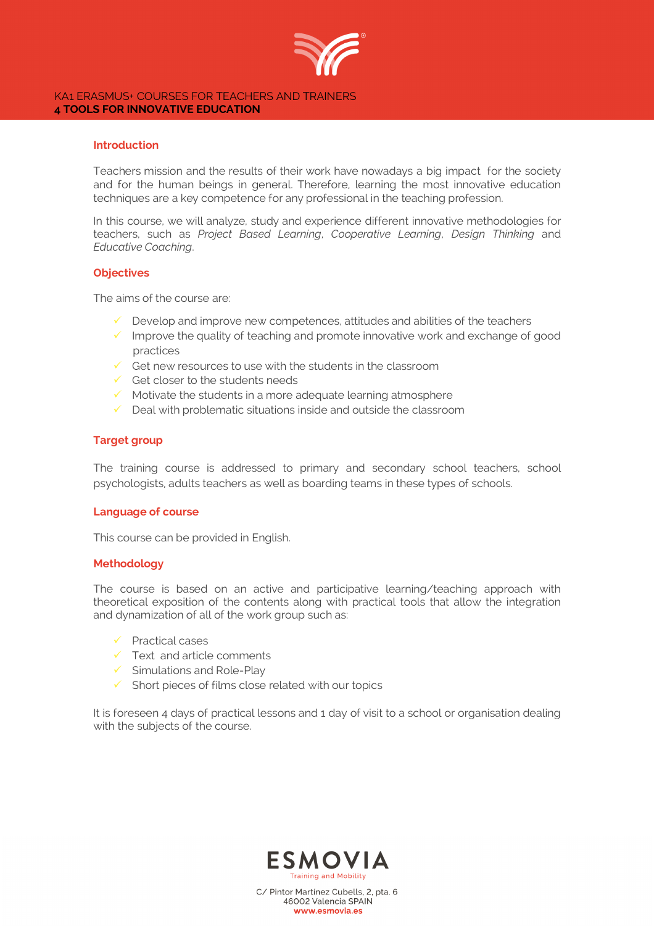

#### KA1 ERASMUS+ COURSES FOR TEACHERS AND TRAINERS **4 TOOLS FOR INNOVATIVE EDUCATION**

## **Introduction**

Teachers mission and the results of their work have nowadays a big impact for the society and for the human beings in general. Therefore, learning the most innovative education techniques are a key competence for any professional in the teaching profession.

In this course, we will analyze, study and experience different innovative methodologies for teachers, such as *Project Based Learning*, *Cooperative Learning*, *Design Thinking* and *Educative Coaching*.

## **Objectives**

The aims of the course are:

- $\checkmark$  Develop and improve new competences, attitudes and abilities of the teachers
- $\checkmark$  Improve the quality of teaching and promote innovative work and exchange of good practices
- $\checkmark$  Get new resources to use with the students in the classroom
- $\checkmark$  Get closer to the students needs
- $\checkmark$  Motivate the students in a more adequate learning atmosphere
- $\checkmark$  Deal with problematic situations inside and outside the classroom

## **Target group**

The training course is addressed to primary and secondary school teachers, school psychologists, adults teachers as well as boarding teams in these types of schools.

### **Language of course**

This course can be provided in English.

### **Methodology**

The course is based on an active and participative learning/teaching approach with theoretical exposition of the contents along with practical tools that allow the integration and dynamization of all of the work group such as:

- $\checkmark$  Practical cases
- $\checkmark$  Text and article comments
- $\checkmark$  Simulations and Role-Play
- $\checkmark$  Short pieces of films close related with our topics

It is foreseen 4 days of practical lessons and 1 day of visit to a school or organisation dealing with the subjects of the course.



C/ Pintor Martínez Cubells, 2, pta. 6 46002 Valencia SPAIN www.esmovia.es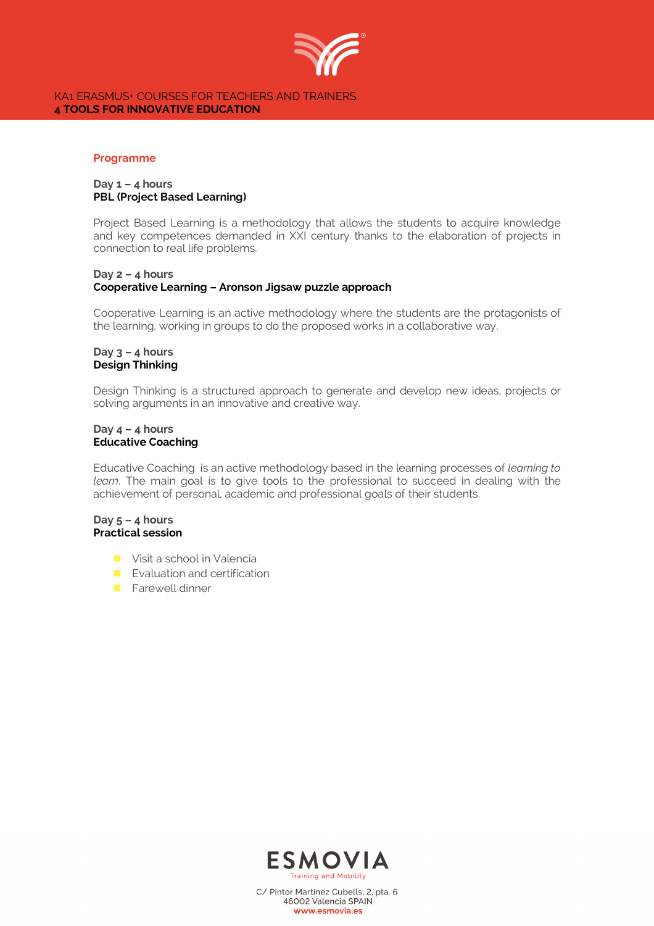

### KA1 ERASMUS+ COURSES FOR TEACHERS AND TRAINERS **4 TOOLS FOR INNOVATIVE EDUCATION**

#### **Programme**

## **Day 1 – 4 hours PBL (Project Based Learning)**

Project Based Learning is a methodology that allows the students to acquire knowledge and key competences demanded in XXI century thanks to the elaboration of projects in connection to real life problems.

## **Day 2 – 4 hours Cooperative Learning – Aronson Jigsaw puzzle approach**

Cooperative Learning is an active methodology where the students are the protagonists of the learning, working in groups to do the proposed works in a collaborative way.

### **Day 3 – 4 hours Design Thinking**

Design Thinking is a structured approach to generate and develop new ideas, projects or solving arguments in an innovative and creative way.

## **Day 4 – 4 hours Educative Coaching**

Educative Coaching is an active methodology based in the learning processes of *learning to learn*. The main goal is to give tools to the professional to succeed in dealing with the achievement of personal, academic and professional goals of their students.

## **Day 5 – 4 hours Practical session**

- **n** Visit a school in Valencia
- $\blacksquare$  Evaluation and certification
- **n** Farewell dinner



C/ Pintor Martínez Cubells, 2, pta. 6 46002 Valencia SPAIN www.esmovia.es